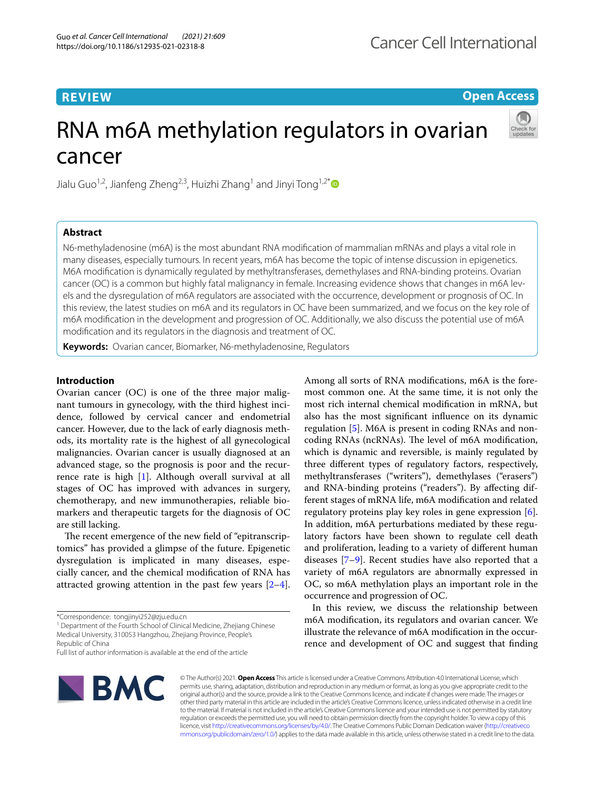## **REVIEW**

## **Open Access**

# RNA m6A methylation regulators in ovarian cancer



Jialu Guo<sup>1,2</sup>, Jianfeng Zheng<sup>2,3</sup>, Huizhi Zhang<sup>1</sup> and Jinyi Tong<sup>1,2[\\*](http://orcid.org/0000-0003-2576-8764)</sup>

## **Abstract**

N6-methyladenosine (m6A) is the most abundant RNA modifcation of mammalian mRNAs and plays a vital role in many diseases, especially tumours. In recent years, m6A has become the topic of intense discussion in epigenetics. M6A modifcation is dynamically regulated by methyltransferases, demethylases and RNA-binding proteins. Ovarian cancer (OC) is a common but highly fatal malignancy in female. Increasing evidence shows that changes in m6A levels and the dysregulation of m6A regulators are associated with the occurrence, development or prognosis of OC. In this review, the latest studies on m6A and its regulators in OC have been summarized, and we focus on the key role of m6A modifcation in the development and progression of OC. Additionally, we also discuss the potential use of m6A modifcation and its regulators in the diagnosis and treatment of OC.

**Keywords:** Ovarian cancer, Biomarker, N6-methyladenosine, Regulators

## **Introduction**

Ovarian cancer (OC) is one of the three major malignant tumours in gynecology, with the third highest incidence, followed by cervical cancer and endometrial cancer. However, due to the lack of early diagnosis methods, its mortality rate is the highest of all gynecological malignancies. Ovarian cancer is usually diagnosed at an advanced stage, so the prognosis is poor and the recurrence rate is high [\[1](#page-9-0)]. Although overall survival at all stages of OC has improved with advances in surgery, chemotherapy, and new immunotherapies, reliable biomarkers and therapeutic targets for the diagnosis of OC are still lacking.

The recent emergence of the new field of "epitranscriptomics" has provided a glimpse of the future. Epigenetic dysregulation is implicated in many diseases, especially cancer, and the chemical modifcation of RNA has attracted growing attention in the past few years  $[2-4]$  $[2-4]$ .

<sup>1</sup> Department of the Fourth School of Clinical Medicine, Zhejiang Chinese Medical University, 310053 Hangzhou, Zhejiang Province, People's Republic of China

Full list of author information is available at the end of the article



Among all sorts of RNA modifcations, m6A is the foremost common one. At the same time, it is not only the most rich internal chemical modifcation in mRNA, but also has the most signifcant infuence on its dynamic regulation [[5](#page-9-3)]. M6A is present in coding RNAs and noncoding RNAs (ncRNAs). The level of m6A modification, which is dynamic and reversible, is mainly regulated by three diferent types of regulatory factors, respectively, methyltransferases ("writers"), demethylases ("erasers") and RNA-binding proteins ("readers"). By afecting different stages of mRNA life, m6A modifcation and related regulatory proteins play key roles in gene expression [\[6](#page-9-4)]. In addition, m6A perturbations mediated by these regulatory factors have been shown to regulate cell death and proliferation, leading to a variety of diferent human diseases [[7–](#page-9-5)[9](#page-9-6)]. Recent studies have also reported that a variety of m6A regulators are abnormally expressed in OC, so m6A methylation plays an important role in the occurrence and progression of OC.

In this review, we discuss the relationship between m6A modifcation, its regulators and ovarian cancer. We illustrate the relevance of m6A modifcation in the occurrence and development of OC and suggest that fnding

© The Author(s) 2021. **Open Access** This article is licensed under a Creative Commons Attribution 4.0 International License, which permits use, sharing, adaptation, distribution and reproduction in any medium or format, as long as you give appropriate credit to the original author(s) and the source, provide a link to the Creative Commons licence, and indicate if changes were made. The images or other third party material in this article are included in the article's Creative Commons licence, unless indicated otherwise in a credit line to the material. If material is not included in the article's Creative Commons licence and your intended use is not permitted by statutory regulation or exceeds the permitted use, you will need to obtain permission directly from the copyright holder. To view a copy of this licence, visit [http://creativecommons.org/licenses/by/4.0/.](http://creativecommons.org/licenses/by/4.0/) The Creative Commons Public Domain Dedication waiver ([http://creativeco](http://creativecommons.org/publicdomain/zero/1.0/) [mmons.org/publicdomain/zero/1.0/](http://creativecommons.org/publicdomain/zero/1.0/)) applies to the data made available in this article, unless otherwise stated in a credit line to the data.

<sup>\*</sup>Correspondence: tongjinyi252@zju.edu.cn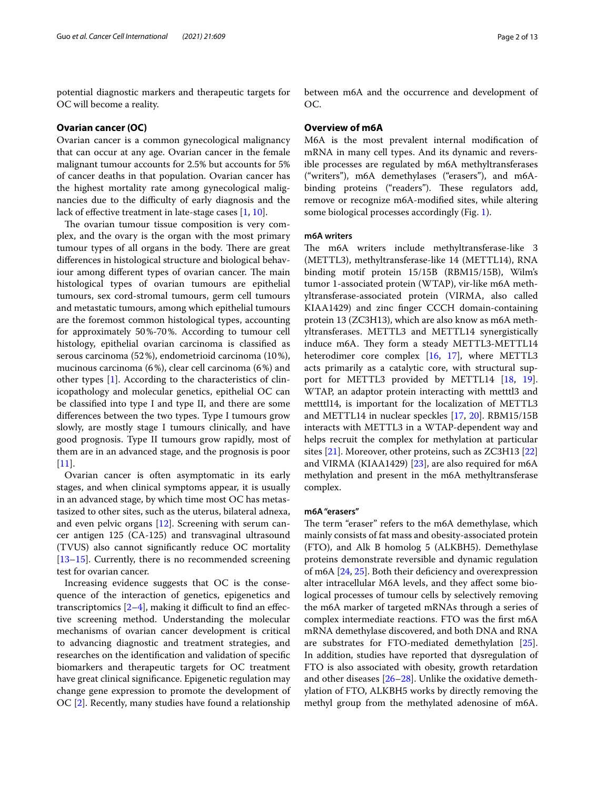potential diagnostic markers and therapeutic targets for OC will become a reality.

## **Ovarian cancer (OC)**

Ovarian cancer is a common gynecological malignancy that can occur at any age. Ovarian cancer in the female malignant tumour accounts for 2.5% but accounts for 5% of cancer deaths in that population. Ovarian cancer has the highest mortality rate among gynecological malignancies due to the difficulty of early diagnosis and the lack of efective treatment in late-stage cases [\[1](#page-9-0), [10\]](#page-9-7).

The ovarian tumour tissue composition is very complex, and the ovary is the organ with the most primary tumour types of all organs in the body. There are great diferences in histological structure and biological behaviour among different types of ovarian cancer. The main histological types of ovarian tumours are epithelial tumours, sex cord-stromal tumours, germ cell tumours and metastatic tumours, among which epithelial tumours are the foremost common histological types, accounting for approximately 50%-70%. According to tumour cell histology, epithelial ovarian carcinoma is classifed as serous carcinoma (52%), endometrioid carcinoma (10%), mucinous carcinoma (6%), clear cell carcinoma (6%) and other types [\[1](#page-9-0)]. According to the characteristics of clinicopathology and molecular genetics, epithelial OC can be classifed into type I and type II, and there are some diferences between the two types. Type I tumours grow slowly, are mostly stage I tumours clinically, and have good prognosis. Type II tumours grow rapidly, most of them are in an advanced stage, and the prognosis is poor [[11\]](#page-9-8).

Ovarian cancer is often asymptomatic in its early stages, and when clinical symptoms appear, it is usually in an advanced stage, by which time most OC has metastasized to other sites, such as the uterus, bilateral adnexa, and even pelvic organs [\[12\]](#page-9-9). Screening with serum cancer antigen 125 (CA-125) and transvaginal ultrasound (TVUS) also cannot signifcantly reduce OC mortality [[13–](#page-9-10)[15](#page-9-11)]. Currently, there is no recommended screening test for ovarian cancer.

Increasing evidence suggests that OC is the consequence of the interaction of genetics, epigenetics and transcriptomics  $[2-4]$  $[2-4]$ , making it difficult to find an effective screening method. Understanding the molecular mechanisms of ovarian cancer development is critical to advancing diagnostic and treatment strategies, and researches on the identifcation and validation of specifc biomarkers and therapeutic targets for OC treatment have great clinical signifcance. Epigenetic regulation may change gene expression to promote the development of OC [\[2](#page-9-1)]. Recently, many studies have found a relationship between m6A and the occurrence and development of OC.

## **Overview of m6A**

M6A is the most prevalent internal modifcation of mRNA in many cell types. And its dynamic and reversible processes are regulated by m6A methyltransferases ("writers"), m6A demethylases ("erasers"), and m6Abinding proteins ("readers"). These regulators add, remove or recognize m6A-modifed sites, while altering some biological processes accordingly (Fig. [1\)](#page-2-0).

## **m6A writers**

The m6A writers include methyltransferase-like 3 (METTL3), methyltransferase-like 14 (METTL14), RNA binding motif protein 15/15B (RBM15/15B), Wilm's tumor 1-associated protein (WTAP), vir-like m6A methyltransferase-associated protein (VIRMA, also called KIAA1429) and zinc fnger CCCH domain-containing protein 13 (ZC3H13), which are also know as m6A methyltransferases. METTL3 and METTL14 synergistically induce m6A. They form a steady METTL3-METTL14 heterodimer core complex [[16](#page-9-12), [17\]](#page-9-13), where METTL3 acts primarily as a catalytic core, with structural support for METTL3 provided by METTL14 [[18](#page-9-14), [19](#page-9-15)]. WTAP, an adaptor protein interacting with metttl3 and metttl14, is important for the localization of METTL3 and METTL14 in nuclear speckles [[17](#page-9-13), [20\]](#page-9-16). RBM15/15B interacts with METTL3 in a WTAP-dependent way and helps recruit the complex for methylation at particular sites [\[21](#page-9-17)]. Moreover, other proteins, such as ZC3H13 [[22](#page-9-18)] and VIRMA (KIAA1429) [\[23](#page-9-19)], are also required for m6A methylation and present in the m6A methyltransferase complex.

## **m6A "erasers"**

The term "eraser" refers to the m6A demethylase, which mainly consists of fat mass and obesity-associated protein (FTO), and Alk B homolog 5 (ALKBH5). Demethylase proteins demonstrate reversible and dynamic regulation of m6A [[24](#page-9-20), [25\]](#page-9-21). Both their defciency and overexpression alter intracellular M6A levels, and they afect some biological processes of tumour cells by selectively removing the m6A marker of targeted mRNAs through a series of complex intermediate reactions. FTO was the frst m6A mRNA demethylase discovered, and both DNA and RNA are substrates for FTO-mediated demethylation [\[25](#page-9-21)]. In addition, studies have reported that dysregulation of FTO is also associated with obesity, growth retardation and other diseases [[26–](#page-9-22)[28](#page-9-23)]. Unlike the oxidative demethylation of FTO, ALKBH5 works by directly removing the methyl group from the methylated adenosine of m6A.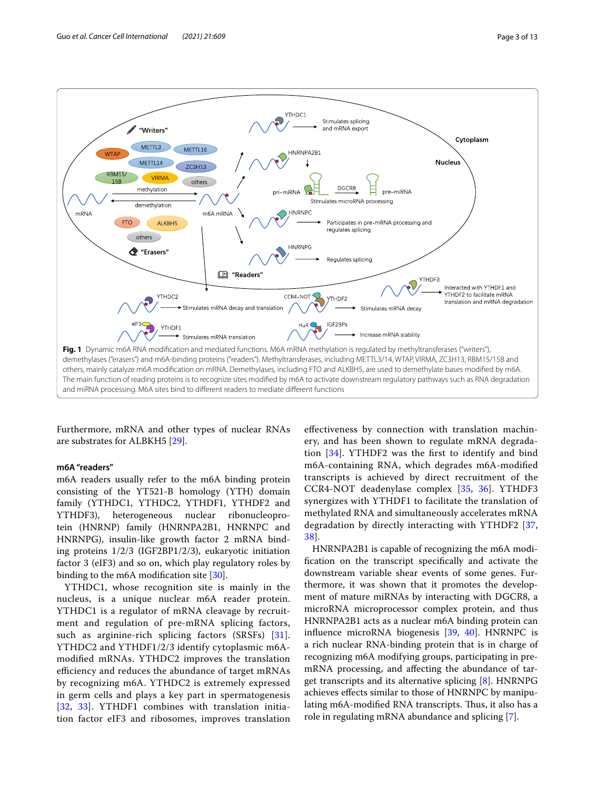

<span id="page-2-0"></span>Furthermore, mRNA and other types of nuclear RNAs are substrates for ALBKH5 [\[29](#page-9-24)].

## **m6A "readers"**

m6A readers usually refer to the m6A binding protein consisting of the YT521-B homology (YTH) domain family (YTHDC1, YTHDC2, YTHDF1, YTHDF2 and YTHDF3), heterogeneous nuclear ribonucleoprotein (HNRNP) family (HNRNPA2B1, HNRNPC and HNRNPG), insulin-like growth factor 2 mRNA binding proteins 1/2/3 (IGF2BP1/2/3), eukaryotic initiation factor 3 (eIF3) and so on, which play regulatory roles by binding to the m6A modifcation site [[30\]](#page-9-25).

YTHDC1, whose recognition site is mainly in the nucleus, is a unique nuclear m6A reader protein. YTHDC1 is a regulator of mRNA cleavage by recruitment and regulation of pre-mRNA splicing factors, such as arginine-rich splicing factors (SRSFs) [[31\]](#page-9-26). YTHDC2 and YTHDF1/2/3 identify cytoplasmic m6Amodifed mRNAs. YTHDC2 improves the translation efficiency and reduces the abundance of target mRNAs by recognizing m6A. YTHDC2 is extremely expressed in germ cells and plays a key part in spermatogenesis [[32](#page-9-27), [33](#page-9-28)]. YTHDF1 combines with translation initiation factor eIF3 and ribosomes, improves translation

efectiveness by connection with translation machinery, and has been shown to regulate mRNA degradation [\[34](#page-9-29)]. YTHDF2 was the frst to identify and bind m6A-containing RNA, which degrades m6A-modifed transcripts is achieved by direct recruitment of the CCR4-NOT deadenylase complex [\[35](#page-9-30), [36](#page-9-31)]. YTHDF3 synergizes with YTHDF1 to facilitate the translation of methylated RNA and simultaneously accelerates mRNA degradation by directly interacting with YTHDF2 [\[37](#page-9-32), [38\]](#page-9-33).

HNRNPA2B1 is capable of recognizing the m6A modifcation on the transcript specifcally and activate the downstream variable shear events of some genes. Furthermore, it was shown that it promotes the development of mature miRNAs by interacting with DGCR8, a microRNA microprocessor complex protein, and thus HNRNPA2B1 acts as a nuclear m6A binding protein can infuence microRNA biogenesis [\[39,](#page-9-34) [40](#page-9-35)]. HNRNPC is a rich nuclear RNA-binding protein that is in charge of recognizing m6A modifying groups, participating in premRNA processing, and afecting the abundance of target transcripts and its alternative splicing [\[8](#page-9-36)]. HNRNPG achieves efects similar to those of HNRNPC by manipulating m6A-modified RNA transcripts. Thus, it also has a role in regulating mRNA abundance and splicing [\[7](#page-9-5)].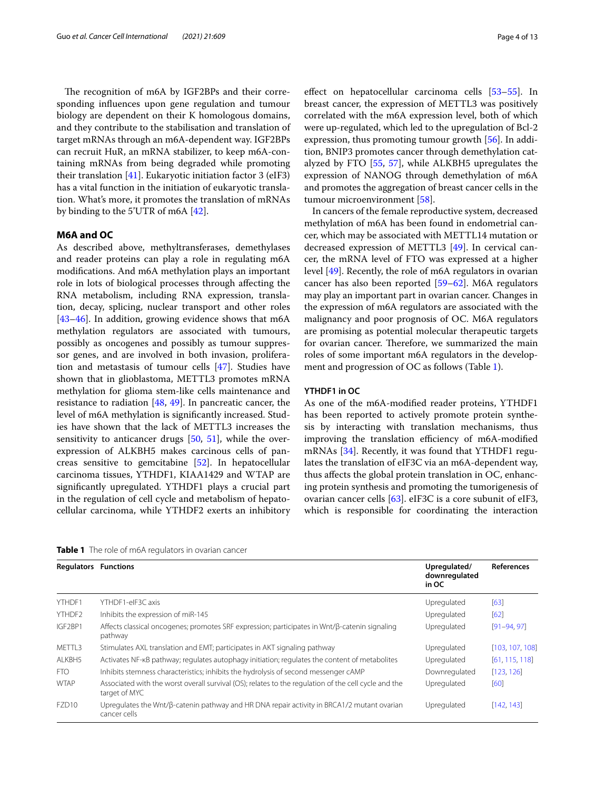The recognition of m6A by IGF2BPs and their corresponding infuences upon gene regulation and tumour biology are dependent on their K homologous domains, and they contribute to the stabilisation and translation of target mRNAs through an m6A-dependent way. IGF2BPs can recruit HuR, an mRNA stabilizer, to keep m6A-containing mRNAs from being degraded while promoting their translation [\[41](#page-9-37)]. Eukaryotic initiation factor 3 (eIF3) has a vital function in the initiation of eukaryotic translation. What's more, it promotes the translation of mRNAs by binding to the 5'UTR of m6A [[42\]](#page-9-38).

## **M6A and OC**

As described above, methyltransferases, demethylases and reader proteins can play a role in regulating m6A modifcations. And m6A methylation plays an important role in lots of biological processes through afecting the RNA metabolism, including RNA expression, translation, decay, splicing, nuclear transport and other roles [[43–](#page-10-0)[46](#page-10-1)]. In addition, growing evidence shows that m6A methylation regulators are associated with tumours, possibly as oncogenes and possibly as tumour suppressor genes, and are involved in both invasion, proliferation and metastasis of tumour cells [[47\]](#page-10-2). Studies have shown that in glioblastoma, METTL3 promotes mRNA methylation for glioma stem-like cells maintenance and resistance to radiation [[48,](#page-10-3) [49\]](#page-10-4). In pancreatic cancer, the level of m6A methylation is signifcantly increased. Studies have shown that the lack of METTL3 increases the sensitivity to anticancer drugs [\[50,](#page-10-5) [51\]](#page-10-6), while the overexpression of ALKBH5 makes carcinous cells of pancreas sensitive to gemcitabine [\[52\]](#page-10-7). In hepatocellular carcinoma tissues, YTHDF1, KIAA1429 and WTAP are signifcantly upregulated. YTHDF1 plays a crucial part in the regulation of cell cycle and metabolism of hepatocellular carcinoma, while YTHDF2 exerts an inhibitory efect on hepatocellular carcinoma cells [\[53](#page-10-8)[–55\]](#page-10-9). In breast cancer, the expression of METTL3 was positively correlated with the m6A expression level, both of which were up-regulated, which led to the upregulation of Bcl-2 expression, thus promoting tumour growth [\[56\]](#page-10-10). In addition, BNIP3 promotes cancer through demethylation catalyzed by FTO [\[55](#page-10-9), [57\]](#page-10-11), while ALKBH5 upregulates the expression of NANOG through demethylation of m6A and promotes the aggregation of breast cancer cells in the tumour microenvironment [\[58](#page-10-12)].

In cancers of the female reproductive system, decreased methylation of m6A has been found in endometrial cancer, which may be associated with METTL14 mutation or decreased expression of METTL3 [[49](#page-10-4)]. In cervical cancer, the mRNA level of FTO was expressed at a higher level [\[49\]](#page-10-4). Recently, the role of m6A regulators in ovarian cancer has also been reported [\[59–](#page-10-13)[62\]](#page-10-14). M6A regulators may play an important part in ovarian cancer. Changes in the expression of m6A regulators are associated with the malignancy and poor prognosis of OC. M6A regulators are promising as potential molecular therapeutic targets for ovarian cancer. Therefore, we summarized the main roles of some important m6A regulators in the development and progression of OC as follows (Table [1](#page-3-0)).

## **YTHDF1 in OC**

As one of the m6A-modifed reader proteins, YTHDF1 has been reported to actively promote protein synthesis by interacting with translation mechanisms, thus improving the translation efficiency of m6A-modified mRNAs [[34\]](#page-9-29). Recently, it was found that YTHDF1 regulates the translation of eIF3C via an m6A-dependent way, thus afects the global protein translation in OC, enhancing protein synthesis and promoting the tumorigenesis of ovarian cancer cells [[63](#page-10-15)]. eIF3C is a core subunit of eIF3, which is responsible for coordinating the interaction

<span id="page-3-0"></span>**Table 1** The role of m6A regulators in ovarian cancer

| <b>Regulators Functions</b> |                                                                                                                       | Upregulated/<br>downregulated<br>in OC | <b>References</b> |
|-----------------------------|-----------------------------------------------------------------------------------------------------------------------|----------------------------------------|-------------------|
| YTHDF1                      | YTHDF1-elF3C axis                                                                                                     | Upregulated                            | [63]              |
| YTHDF2                      | Inhibits the expression of miR-145                                                                                    | Upregulated                            | [62]              |
| IGF2BP1                     | Affects classical oncogenes; promotes SRF expression; participates in Wnt/ß-catenin signaling<br>pathway              | Upregulated                            | $[91 - 94, 97]$   |
| METTL3                      | Stimulates AXL translation and EMT; participates in AKT signaling pathway                                             | Upregulated                            | [103, 107, 108]   |
| ALKBH5                      | Activates NF-KB pathway; regulates autophagy initiation; regulates the content of metabolites                         | Upregulated                            | [61, 115, 118]    |
| <b>FTO</b>                  | Inhibits stemness characteristics; inhibits the hydrolysis of second messenger cAMP                                   | Downregulated                          | [123, 126]        |
| <b>WTAP</b>                 | Associated with the worst overall survival (OS); relates to the regulation of the cell cycle and the<br>target of MYC | Upregulated                            | [60]              |
| FZD <sub>10</sub>           | Upregulates the Wnt/ß-catenin pathway and HR DNA repair activity in BRCA1/2 mutant ovarian<br>cancer cells            | Upregulated                            | [142, 143]        |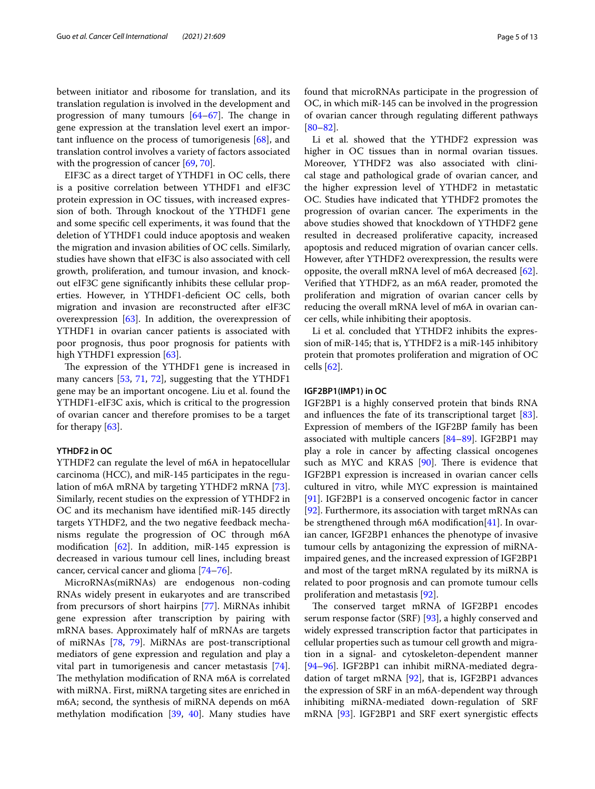between initiator and ribosome for translation, and its translation regulation is involved in the development and progression of many tumours  $[64–67]$  $[64–67]$  $[64–67]$  $[64–67]$ . The change in gene expression at the translation level exert an important infuence on the process of tumorigenesis [[68\]](#page-10-22), and translation control involves a variety of factors associated with the progression of cancer [[69,](#page-10-23) [70](#page-10-24)].

EIF3C as a direct target of YTHDF1 in OC cells, there is a positive correlation between YTHDF1 and eIF3C protein expression in OC tissues, with increased expression of both. Through knockout of the YTHDF1 gene and some specifc cell experiments, it was found that the deletion of YTHDF1 could induce apoptosis and weaken the migration and invasion abilities of OC cells. Similarly, studies have shown that eIF3C is also associated with cell growth, proliferation, and tumour invasion, and knockout eIF3C gene signifcantly inhibits these cellular properties. However, in YTHDF1-defcient OC cells, both migration and invasion are reconstructed after eIF3C overexpression [[63](#page-10-15)]. In addition, the overexpression of YTHDF1 in ovarian cancer patients is associated with poor prognosis, thus poor prognosis for patients with high YTHDF1 expression [\[63](#page-10-15)].

The expression of the YTHDF1 gene is increased in many cancers [\[53](#page-10-8), [71,](#page-10-25) [72](#page-10-26)], suggesting that the YTHDF1 gene may be an important oncogene. Liu et al. found the YTHDF1-eIF3C axis, which is critical to the progression of ovarian cancer and therefore promises to be a target for therapy [\[63](#page-10-15)].

## **YTHDF2 in OC**

YTHDF2 can regulate the level of m6A in hepatocellular carcinoma (HCC), and miR-145 participates in the regulation of m6A mRNA by targeting YTHDF2 mRNA [\[73](#page-10-27)]. Similarly, recent studies on the expression of YTHDF2 in OC and its mechanism have identifed miR-145 directly targets YTHDF2, and the two negative feedback mechanisms regulate the progression of OC through m6A modification  $[62]$  $[62]$  $[62]$ . In addition, miR-145 expression is decreased in various tumour cell lines, including breast cancer, cervical cancer and glioma [[74](#page-10-28)[–76](#page-10-29)].

MicroRNAs(miRNAs) are endogenous non-coding RNAs widely present in eukaryotes and are transcribed from precursors of short hairpins [[77](#page-10-30)]. MiRNAs inhibit gene expression after transcription by pairing with mRNA bases. Approximately half of mRNAs are targets of miRNAs [\[78,](#page-10-31) [79\]](#page-10-32). MiRNAs are post-transcriptional mediators of gene expression and regulation and play a vital part in tumorigenesis and cancer metastasis [\[74](#page-10-28)]. The methylation modification of RNA m6A is correlated with miRNA. First, miRNA targeting sites are enriched in m6A; second, the synthesis of miRNA depends on m6A methylation modifcation [[39](#page-9-34), [40\]](#page-9-35). Many studies have found that microRNAs participate in the progression of OC, in which miR-145 can be involved in the progression of ovarian cancer through regulating diferent pathways [[80–](#page-10-33)[82\]](#page-10-34).

Li et al. showed that the YTHDF2 expression was higher in OC tissues than in normal ovarian tissues. Moreover, YTHDF2 was also associated with clinical stage and pathological grade of ovarian cancer, and the higher expression level of YTHDF2 in metastatic OC. Studies have indicated that YTHDF2 promotes the progression of ovarian cancer. The experiments in the above studies showed that knockdown of YTHDF2 gene resulted in decreased proliferative capacity, increased apoptosis and reduced migration of ovarian cancer cells. However, after YTHDF2 overexpression, the results were opposite, the overall mRNA level of m6A decreased [\[62](#page-10-14)]. Verifed that YTHDF2, as an m6A reader, promoted the proliferation and migration of ovarian cancer cells by reducing the overall mRNA level of m6A in ovarian cancer cells, while inhibiting their apoptosis.

Li et al. concluded that YTHDF2 inhibits the expression of miR-145; that is, YTHDF2 is a miR-145 inhibitory protein that promotes proliferation and migration of OC cells [[62\]](#page-10-14).

## **IGF2BP1(IMP1) in OC**

IGF2BP1 is a highly conserved protein that binds RNA and infuences the fate of its transcriptional target [\[83](#page-10-35)]. Expression of members of the IGF2BP family has been associated with multiple cancers [[84](#page-10-36)[–89](#page-10-37)]. IGF2BP1 may play a role in cancer by afecting classical oncogenes such as MYC and KRAS  $[90]$  $[90]$ . There is evidence that IGF2BP1 expression is increased in ovarian cancer cells cultured in vitro, while MYC expression is maintained [[91\]](#page-10-16). IGF2BP1 is a conserved oncogenic factor in cancer [[92\]](#page-10-39). Furthermore, its association with target mRNAs can be strengthened through m6A modifcation[[41\]](#page-9-37). In ovarian cancer, IGF2BP1 enhances the phenotype of invasive tumour cells by antagonizing the expression of miRNAimpaired genes, and the increased expression of IGF2BP1 and most of the target mRNA regulated by its miRNA is related to poor prognosis and can promote tumour cells proliferation and metastasis [[92\]](#page-10-39).

The conserved target mRNA of IGF2BP1 encodes serum response factor (SRF) [[93\]](#page-10-40), a highly conserved and widely expressed transcription factor that participates in cellular properties such as tumour cell growth and migration in a signal- and cytoskeleton-dependent manner [[94–](#page-10-17)[96\]](#page-10-41). IGF2BP1 can inhibit miRNA-mediated degradation of target mRNA [\[92](#page-10-39)], that is, IGF2BP1 advances the expression of SRF in an m6A-dependent way through inhibiting miRNA-mediated down-regulation of SRF mRNA [[93\]](#page-10-40). IGF2BP1 and SRF exert synergistic efects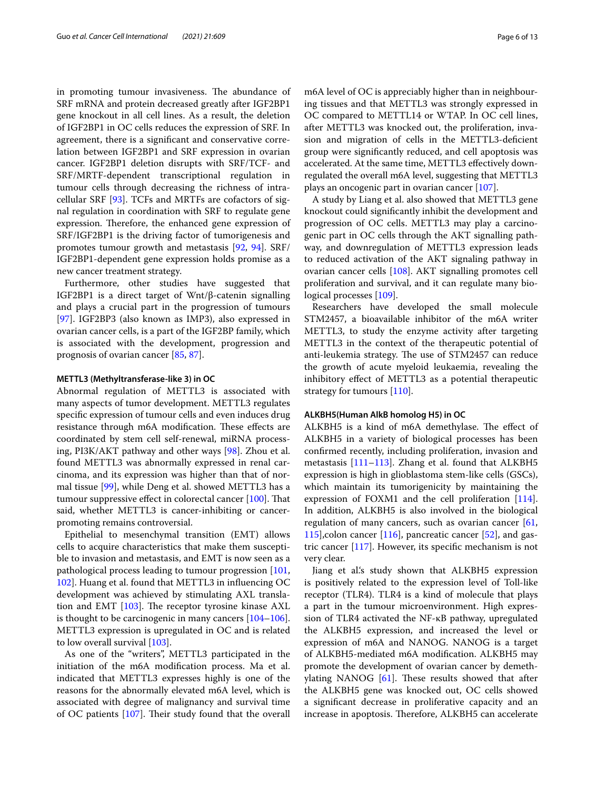in promoting tumour invasiveness. The abundance of SRF mRNA and protein decreased greatly after IGF2BP1 gene knockout in all cell lines. As a result, the deletion of IGF2BP1 in OC cells reduces the expression of SRF. In agreement, there is a signifcant and conservative correlation between IGF2BP1 and SRF expression in ovarian cancer. IGF2BP1 deletion disrupts with SRF/TCF- and SRF/MRTF-dependent transcriptional regulation in tumour cells through decreasing the richness of intracellular SRF [[93](#page-10-40)]. TCFs and MRTFs are cofactors of signal regulation in coordination with SRF to regulate gene expression. Therefore, the enhanced gene expression of SRF/IGF2BP1 is the driving factor of tumorigenesis and promotes tumour growth and metastasis [[92,](#page-10-39) [94](#page-10-17)]. SRF/ IGF2BP1-dependent gene expression holds promise as a new cancer treatment strategy.

Furthermore, other studies have suggested that IGF2BP1 is a direct target of Wnt/β-catenin signalling and plays a crucial part in the progression of tumours [[97\]](#page-11-0). IGF2BP3 (also known as IMP3), also expressed in ovarian cancer cells, is a part of the IGF2BP family, which is associated with the development, progression and prognosis of ovarian cancer [[85,](#page-10-42) [87](#page-10-43)].

## **METTL3 (Methyltransferase‑like 3) in OC**

Abnormal regulation of METTL3 is associated with many aspects of tumor development. METTL3 regulates specifc expression of tumour cells and even induces drug resistance through m6A modification. These effects are coordinated by stem cell self-renewal, miRNA processing, PI3K/AKT pathway and other ways [\[98](#page-11-10)]. Zhou et al. found METTL3 was abnormally expressed in renal carcinoma, and its expression was higher than that of normal tissue [\[99\]](#page-11-11), while Deng et al. showed METTL3 has a tumour suppressive effect in colorectal cancer [[100](#page-11-12)]. That said, whether METTL3 is cancer-inhibiting or cancerpromoting remains controversial.

Epithelial to mesenchymal transition (EMT) allows cells to acquire characteristics that make them susceptible to invasion and metastasis, and EMT is now seen as a pathological process leading to tumour progression [[101](#page-11-13), [102](#page-11-14)]. Huang et al. found that METTL3 in infuencing OC development was achieved by stimulating AXL translation and EMT  $[103]$  $[103]$ . The receptor tyrosine kinase AXL is thought to be carcinogenic in many cancers [[104](#page-11-15)[–106](#page-11-16)]. METTL3 expression is upregulated in OC and is related to low overall survival [[103](#page-11-1)].

As one of the "writers", METTL3 participated in the initiation of the m6A modifcation process. Ma et al. indicated that METTL3 expresses highly is one of the reasons for the abnormally elevated m6A level, which is associated with degree of malignancy and survival time of OC patients  $[107]$  $[107]$ . Their study found that the overall m6A level of OC is appreciably higher than in neighbouring tissues and that METTL3 was strongly expressed in OC compared to METTL14 or WTAP. In OC cell lines, after METTL3 was knocked out, the proliferation, invasion and migration of cells in the METTL3-defcient group were signifcantly reduced, and cell apoptosis was accelerated. At the same time, METTL3 efectively downregulated the overall m6A level, suggesting that METTL3 plays an oncogenic part in ovarian cancer [\[107\]](#page-11-2).

A study by Liang et al. also showed that METTL3 gene knockout could signifcantly inhibit the development and progression of OC cells. METTL3 may play a carcinogenic part in OC cells through the AKT signalling pathway, and downregulation of METTL3 expression leads to reduced activation of the AKT signaling pathway in ovarian cancer cells [\[108\]](#page-11-3). AKT signalling promotes cell proliferation and survival, and it can regulate many biological processes [\[109](#page-11-17)].

Researchers have developed the small molecule STM2457, a bioavailable inhibitor of the m6A writer METTL3, to study the enzyme activity after targeting METTL3 in the context of the therapeutic potential of anti-leukemia strategy. The use of STM2457 can reduce the growth of acute myeloid leukaemia, revealing the inhibitory efect of METTL3 as a potential therapeutic strategy for tumours [[110](#page-11-18)].

## **ALKBH5(Human AlkB homolog H5) in OC**

ALKBH5 is a kind of m6A demethylase. The effect of ALKBH5 in a variety of biological processes has been confrmed recently, including proliferation, invasion and metastasis [\[111–](#page-11-19)[113\]](#page-11-20). Zhang et al. found that ALKBH5 expression is high in glioblastoma stem-like cells (GSCs), which maintain its tumorigenicity by maintaining the expression of FOXM1 and the cell proliferation [\[114](#page-11-21)]. In addition, ALKBH5 is also involved in the biological regulation of many cancers, such as ovarian cancer [[61](#page-10-18), [115](#page-11-4)], colon cancer  $[116]$  $[116]$  $[116]$ , pancreatic cancer  $[52]$  $[52]$ , and gastric cancer [[117\]](#page-11-23). However, its specifc mechanism is not very clear.

Jiang et al.'s study shown that ALKBH5 expression is positively related to the expression level of Toll-like receptor (TLR4). TLR4 is a kind of molecule that plays a part in the tumour microenvironment. High expression of TLR4 activated the NF-κB pathway, upregulated the ALKBH5 expression, and increased the level or expression of m6A and NANOG. NANOG is a target of ALKBH5-mediated m6A modifcation. ALKBH5 may promote the development of ovarian cancer by demethylating NANOG  $[61]$  $[61]$ . These results showed that after the ALKBH5 gene was knocked out, OC cells showed a signifcant decrease in proliferative capacity and an increase in apoptosis. Therefore, ALKBH5 can accelerate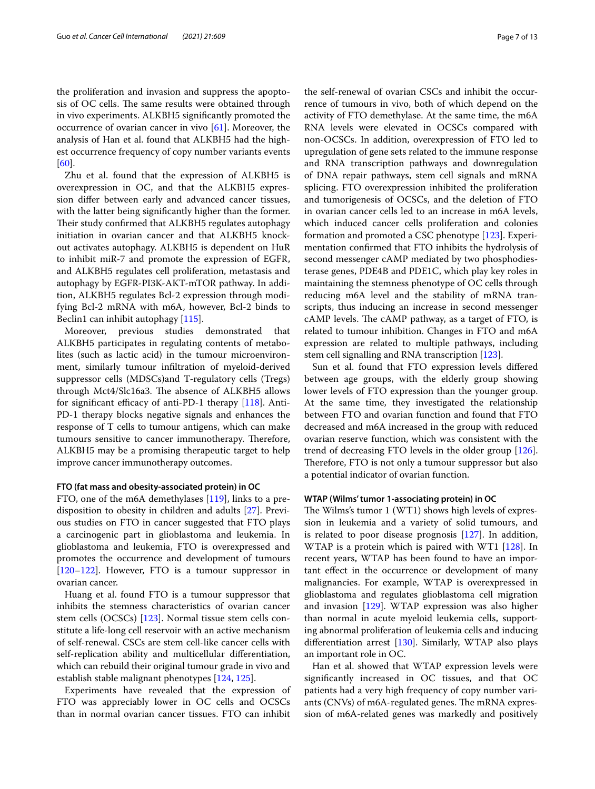the proliferation and invasion and suppress the apoptosis of OC cells. The same results were obtained through in vivo experiments. ALKBH5 signifcantly promoted the occurrence of ovarian cancer in vivo  $[61]$  $[61]$ . Moreover, the analysis of Han et al. found that ALKBH5 had the highest occurrence frequency of copy number variants events [[60\]](#page-10-19).

Zhu et al. found that the expression of ALKBH5 is overexpression in OC, and that the ALKBH5 expression difer between early and advanced cancer tissues, with the latter being signifcantly higher than the former. Their study confirmed that ALKBH5 regulates autophagy initiation in ovarian cancer and that ALKBH5 knockout activates autophagy. ALKBH5 is dependent on HuR to inhibit miR-7 and promote the expression of EGFR, and ALKBH5 regulates cell proliferation, metastasis and autophagy by EGFR-PI3K-AKT-mTOR pathway. In addition, ALKBH5 regulates Bcl-2 expression through modifying Bcl-2 mRNA with m6A, however, Bcl-2 binds to Beclin1 can inhibit autophagy [[115\]](#page-11-4).

Moreover, previous studies demonstrated that ALKBH5 participates in regulating contents of metabolites (such as lactic acid) in the tumour microenvironment, similarly tumour infltration of myeloid-derived suppressor cells (MDSCs)and T-regulatory cells (Tregs) through Mct4/Slc16a3. The absence of ALKBH5 allows for significant efficacy of anti-PD-1 therapy  $[118]$ . Anti-PD-1 therapy blocks negative signals and enhances the response of T cells to tumour antigens, which can make tumours sensitive to cancer immunotherapy. Therefore, ALKBH5 may be a promising therapeutic target to help improve cancer immunotherapy outcomes.

## **FTO (fat mass and obesity‑associated protein) in OC**

FTO, one of the m6A demethylases [[119](#page-11-24)], links to a predisposition to obesity in children and adults [\[27](#page-9-39)]. Previous studies on FTO in cancer suggested that FTO plays a carcinogenic part in glioblastoma and leukemia. In glioblastoma and leukemia, FTO is overexpressed and promotes the occurrence and development of tumours [[120–](#page-11-25)[122](#page-11-26)]. However, FTO is a tumour suppressor in ovarian cancer.

Huang et al. found FTO is a tumour suppressor that inhibits the stemness characteristics of ovarian cancer stem cells (OCSCs) [[123](#page-11-6)]. Normal tissue stem cells constitute a life-long cell reservoir with an active mechanism of self-renewal. CSCs are stem cell-like cancer cells with self-replication ability and multicellular diferentiation, which can rebuild their original tumour grade in vivo and establish stable malignant phenotypes [[124,](#page-11-27) [125\]](#page-11-28).

Experiments have revealed that the expression of FTO was appreciably lower in OC cells and OCSCs than in normal ovarian cancer tissues. FTO can inhibit

the self-renewal of ovarian CSCs and inhibit the occurrence of tumours in vivo, both of which depend on the activity of FTO demethylase. At the same time, the m6A RNA levels were elevated in OCSCs compared with non-OCSCs. In addition, overexpression of FTO led to upregulation of gene sets related to the immune response and RNA transcription pathways and downregulation of DNA repair pathways, stem cell signals and mRNA splicing. FTO overexpression inhibited the proliferation and tumorigenesis of OCSCs, and the deletion of FTO in ovarian cancer cells led to an increase in m6A levels, which induced cancer cells proliferation and colonies formation and promoted a CSC phenotype [[123](#page-11-6)]. Experimentation confrmed that FTO inhibits the hydrolysis of second messenger cAMP mediated by two phosphodiesterase genes, PDE4B and PDE1C, which play key roles in maintaining the stemness phenotype of OC cells through reducing m6A level and the stability of mRNA transcripts, thus inducing an increase in second messenger cAMP levels. The cAMP pathway, as a target of FTO, is related to tumour inhibition. Changes in FTO and m6A expression are related to multiple pathways, including stem cell signalling and RNA transcription [[123](#page-11-6)].

Sun et al. found that FTO expression levels difered between age groups, with the elderly group showing lower levels of FTO expression than the younger group. At the same time, they investigated the relationship between FTO and ovarian function and found that FTO decreased and m6A increased in the group with reduced ovarian reserve function, which was consistent with the trend of decreasing FTO levels in the older group [\[126](#page-11-7)]. Therefore, FTO is not only a tumour suppressor but also a potential indicator of ovarian function.

## **WTAP (Wilms' tumor 1‑associating protein) in OC**

The Wilms's tumor 1 (WT1) shows high levels of expression in leukemia and a variety of solid tumours, and is related to poor disease prognosis [[127\]](#page-11-29). In addition, WTAP is a protein which is paired with WT1 [\[128\]](#page-11-30). In recent years, WTAP has been found to have an important efect in the occurrence or development of many malignancies. For example, WTAP is overexpressed in glioblastoma and regulates glioblastoma cell migration and invasion [\[129\]](#page-11-31). WTAP expression was also higher than normal in acute myeloid leukemia cells, supporting abnormal proliferation of leukemia cells and inducing diferentiation arrest [\[130\]](#page-11-32). Similarly, WTAP also plays an important role in OC.

Han et al. showed that WTAP expression levels were signifcantly increased in OC tissues, and that OC patients had a very high frequency of copy number variants (CNVs) of m6A-regulated genes. The mRNA expression of m6A-related genes was markedly and positively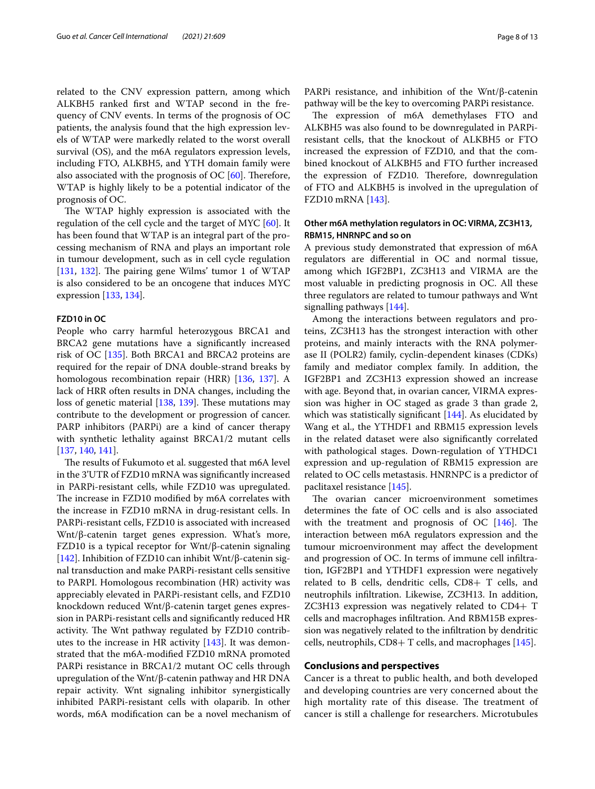related to the CNV expression pattern, among which ALKBH5 ranked frst and WTAP second in the frequency of CNV events. In terms of the prognosis of OC patients, the analysis found that the high expression levels of WTAP were markedly related to the worst overall survival (OS), and the m6A regulators expression levels, including FTO, ALKBH5, and YTH domain family were also associated with the prognosis of OC  $[60]$  $[60]$ . Therefore, WTAP is highly likely to be a potential indicator of the prognosis of OC.

The WTAP highly expression is associated with the regulation of the cell cycle and the target of MYC [\[60](#page-10-19)]. It has been found that WTAP is an integral part of the processing mechanism of RNA and plays an important role in tumour development, such as in cell cycle regulation [[131,](#page-11-33) [132](#page-11-34)]. The pairing gene Wilms' tumor 1 of WTAP is also considered to be an oncogene that induces MYC expression [[133](#page-11-35), [134\]](#page-11-36).

## **FZD10 in OC**

People who carry harmful heterozygous BRCA1 and BRCA2 gene mutations have a signifcantly increased risk of OC [[135](#page-11-37)]. Both BRCA1 and BRCA2 proteins are required for the repair of DNA double-strand breaks by homologous recombination repair (HRR) [\[136,](#page-11-38) [137\]](#page-11-39). A lack of HRR often results in DNA changes, including the loss of genetic material  $[138, 139]$  $[138, 139]$  $[138, 139]$  $[138, 139]$ . These mutations may contribute to the development or progression of cancer. PARP inhibitors (PARPi) are a kind of cancer therapy with synthetic lethality against BRCA1/2 mutant cells [[137,](#page-11-39) [140,](#page-11-42) [141](#page-11-43)].

The results of Fukumoto et al. suggested that m6A level in the 3'UTR of FZD10 mRNA was signifcantly increased in PARPi-resistant cells, while FZD10 was upregulated. The increase in FZD10 modified by m6A correlates with the increase in FZD10 mRNA in drug-resistant cells. In PARPi-resistant cells, FZD10 is associated with increased Wnt/β-catenin target genes expression. What's more, FZD10 is a typical receptor for Wnt/β-catenin signaling [[142\]](#page-11-8). Inhibition of FZD10 can inhibit Wnt/β-catenin signal transduction and make PARPi-resistant cells sensitive to PARPI. Homologous recombination (HR) activity was appreciably elevated in PARPi-resistant cells, and FZD10 knockdown reduced Wnt/β-catenin target genes expression in PARPi-resistant cells and signifcantly reduced HR activity. The Wnt pathway regulated by FZD10 contributes to the increase in HR activity [[143](#page-11-9)]. It was demonstrated that the m6A-modifed FZD10 mRNA promoted PARPi resistance in BRCA1/2 mutant OC cells through upregulation of the Wnt/β-catenin pathway and HR DNA repair activity. Wnt signaling inhibitor synergistically inhibited PARPi-resistant cells with olaparib. In other words, m6A modifcation can be a novel mechanism of PARPi resistance, and inhibition of the Wnt/β-catenin pathway will be the key to overcoming PARPi resistance.

The expression of m6A demethylases FTO and ALKBH5 was also found to be downregulated in PARPiresistant cells, that the knockout of ALKBH5 or FTO increased the expression of FZD10, and that the combined knockout of ALKBH5 and FTO further increased the expression of FZD10. Therefore, downregulation of FTO and ALKBH5 is involved in the upregulation of FZD10 mRNA [\[143\]](#page-11-9).

## **Other m6A methylation regulators in OC: VIRMA, ZC3H13, RBM15, HNRNPC and so on**

A previous study demonstrated that expression of m6A regulators are diferential in OC and normal tissue, among which IGF2BP1, ZC3H13 and VIRMA are the most valuable in predicting prognosis in OC. All these three regulators are related to tumour pathways and Wnt signalling pathways [\[144](#page-11-44)].

Among the interactions between regulators and proteins, ZC3H13 has the strongest interaction with other proteins, and mainly interacts with the RNA polymerase II (POLR2) family, cyclin-dependent kinases (CDKs) family and mediator complex family. In addition, the IGF2BP1 and ZC3H13 expression showed an increase with age. Beyond that, in ovarian cancer, VIRMA expression was higher in OC staged as grade 3 than grade 2, which was statistically significant  $[144]$  $[144]$ . As elucidated by Wang et al., the YTHDF1 and RBM15 expression levels in the related dataset were also signifcantly correlated with pathological stages. Down-regulation of YTHDC1 expression and up-regulation of RBM15 expression are related to OC cells metastasis. HNRNPC is a predictor of paclitaxel resistance [[145\]](#page-11-45).

The ovarian cancer microenvironment sometimes determines the fate of OC cells and is also associated with the treatment and prognosis of OC  $[146]$  $[146]$ . The interaction between m6A regulators expression and the tumour microenvironment may afect the development and progression of OC. In terms of immune cell infltration, IGF2BP1 and YTHDF1 expression were negatively related to B cells, dendritic cells, CD8+ T cells, and neutrophils infltration. Likewise, ZC3H13. In addition, ZC3H13 expression was negatively related to CD4+ T cells and macrophages infltration. And RBM15B expression was negatively related to the infltration by dendritic cells, neutrophils, CD8+ T cells, and macrophages [[145](#page-11-45)].

## **Conclusions and perspectives**

Cancer is a threat to public health, and both developed and developing countries are very concerned about the high mortality rate of this disease. The treatment of cancer is still a challenge for researchers. Microtubules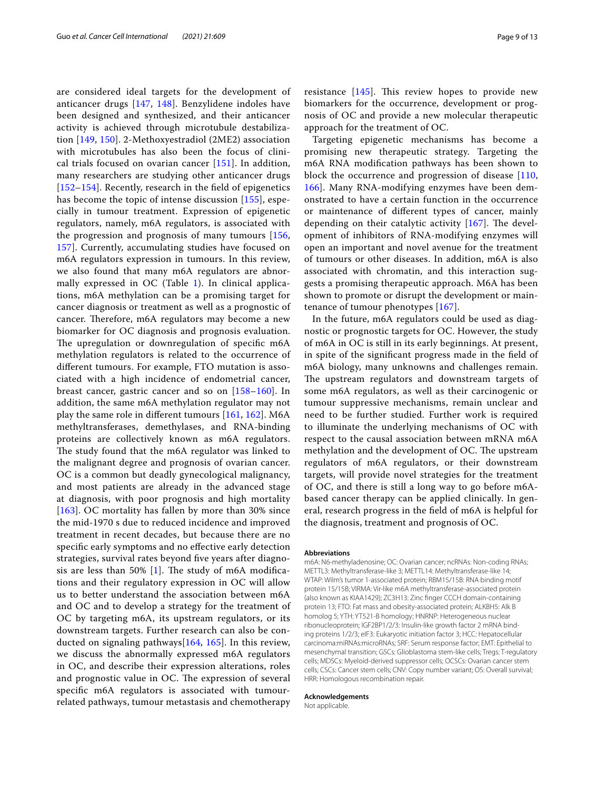are considered ideal targets for the development of anticancer drugs [[147,](#page-11-47) [148](#page-11-48)]. Benzylidene indoles have been designed and synthesized, and their anticancer activity is achieved through microtubule destabilization [[149,](#page-11-49) [150](#page-11-50)]. 2-Methoxyestradiol (2ME2) association with microtubules has also been the focus of clinical trials focused on ovarian cancer [[151\]](#page-12-0). In addition, many researchers are studying other anticancer drugs [[152](#page-12-1)[–154](#page-12-2)]. Recently, research in the feld of epigenetics has become the topic of intense discussion [[155\]](#page-12-3), especially in tumour treatment. Expression of epigenetic regulators, namely, m6A regulators, is associated with the progression and prognosis of many tumours [[156](#page-12-4), [157\]](#page-12-5). Currently, accumulating studies have focused on m6A regulators expression in tumours. In this review, we also found that many m6A regulators are abnormally expressed in  $OC$  (Table [1](#page-3-0)). In clinical applications, m6A methylation can be a promising target for cancer diagnosis or treatment as well as a prognostic of cancer. Therefore, m6A regulators may become a new biomarker for OC diagnosis and prognosis evaluation. The upregulation or downregulation of specific m6A methylation regulators is related to the occurrence of diferent tumours. For example, FTO mutation is associated with a high incidence of endometrial cancer, breast cancer, gastric cancer and so on [[158–](#page-12-6)[160\]](#page-12-7). In addition, the same m6A methylation regulator may not play the same role in diferent tumours [[161](#page-12-8), [162](#page-12-9)]. M6A methyltransferases, demethylases, and RNA-binding proteins are collectively known as m6A regulators. The study found that the m6A regulator was linked to the malignant degree and prognosis of ovarian cancer. OC is a common but deadly gynecological malignancy, and most patients are already in the advanced stage at diagnosis, with poor prognosis and high mortality [[163](#page-12-10)]. OC mortality has fallen by more than 30% since the mid-1970 s due to reduced incidence and improved treatment in recent decades, but because there are no specifc early symptoms and no efective early detection strategies, survival rates beyond fve years after diagnosis are less than 50%  $[1]$  $[1]$ . The study of m6A modifications and their regulatory expression in OC will allow us to better understand the association between m6A and OC and to develop a strategy for the treatment of OC by targeting m6A, its upstream regulators, or its downstream targets. Further research can also be conducted on signaling pathways[[164,](#page-12-11) [165](#page-12-12)]. In this review, we discuss the abnormally expressed m6A regulators in OC, and describe their expression alterations, roles and prognostic value in OC. The expression of several specifc m6A regulators is associated with tumourrelated pathways, tumour metastasis and chemotherapy resistance  $[145]$  $[145]$ . This review hopes to provide new biomarkers for the occurrence, development or prognosis of OC and provide a new molecular therapeutic approach for the treatment of OC.

Targeting epigenetic mechanisms has become a promising new therapeutic strategy. Targeting the m6A RNA modifcation pathways has been shown to block the occurrence and progression of disease  $[110, 100]$  $[110, 100]$ [166\]](#page-12-13). Many RNA-modifying enzymes have been demonstrated to have a certain function in the occurrence or maintenance of diferent types of cancer, mainly depending on their catalytic activity  $[167]$  $[167]$ . The development of inhibitors of RNA-modifying enzymes will open an important and novel avenue for the treatment of tumours or other diseases. In addition, m6A is also associated with chromatin, and this interaction suggests a promising therapeutic approach. M6A has been shown to promote or disrupt the development or maintenance of tumour phenotypes [\[167\]](#page-12-14).

In the future, m6A regulators could be used as diagnostic or prognostic targets for OC. However, the study of m6A in OC is still in its early beginnings. At present, in spite of the signifcant progress made in the feld of m6A biology, many unknowns and challenges remain. The upstream regulators and downstream targets of some m6A regulators, as well as their carcinogenic or tumour suppressive mechanisms, remain unclear and need to be further studied. Further work is required to illuminate the underlying mechanisms of OC with respect to the causal association between mRNA m6A methylation and the development of OC. The upstream regulators of m6A regulators, or their downstream targets, will provide novel strategies for the treatment of OC, and there is still a long way to go before m6Abased cancer therapy can be applied clinically. In general, research progress in the feld of m6A is helpful for the diagnosis, treatment and prognosis of OC.

#### **Abbreviations**

m6A: N6-methyladenosine; OC: Ovarian cancer; ncRNAs: Non-coding RNAs; METTL3: Methyltransferase-like 3; METTL14: Methyltransferase-like 14; WTAP: Wilm's tumor 1-associated protein; RBM15/15B: RNA binding motif protein 15/15B; VIRMA: Vir-like m6A methyltransferase-associated protein (also known as KIAA1429); ZC3H13: Zinc fnger CCCH domain-containing protein 13; FTO: Fat mass and obesity-associated protein; ALKBH5: Alk B homolog 5; YTH: YT521-B homology; HNRNP: Heterogeneous nuclear ribonucleoprotein; IGF2BP1/2/3: Insulin-like growth factor 2 mRNA binding proteins 1/2/3; eIF3: Eukaryotic initiation factor 3; HCC: Hepatocellular carcinoma:miRNAs:microRNAs; SRF: Serum response factor; EMT: Epithelial to mesenchymal transition; GSCs: Glioblastoma stem-like cells; Tregs: T-regulatory cells; MDSCs: Myeloid-derived suppressor cells; OCSCs: Ovarian cancer stem cells; CSCs: Cancer stem cells; CNV: Copy number variant; OS: Overall survival; HRR: Homologous recombination repair.

#### **Acknowledgements**

Not applicable.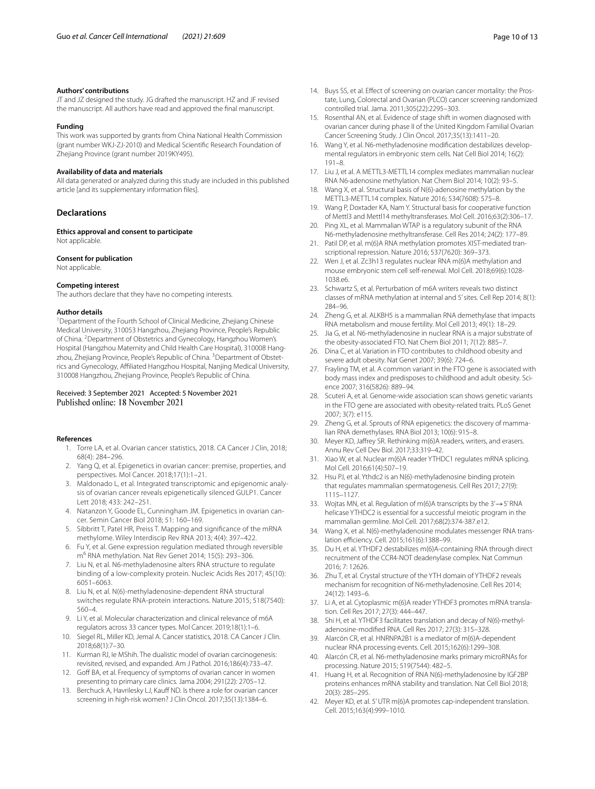#### **Authors' contributions**

JT and JZ designed the study. JG drafted the manuscript. HZ and JF revised the manuscript. All authors have read and approved the fnal manuscript.

#### **Funding**

This work was supported by grants from China National Health Commission (grant number WKJ-ZJ-2010) and Medical Scientifc Research Foundation of Zhejiang Province (grant number 2019KY495).

#### **Availability of data and materials**

All data generated or analyzed during this study are included in this published article [and its supplementary information fles].

## **Declarations**

**Ethics approval and consent to participate** Not applicable.

#### **Consent for publication**

Not applicable.

### **Competing interest**

The authors declare that they have no competing interests.

### **Author details**

<sup>1</sup> Department of the Fourth School of Clinical Medicine, Zhejiang Chinese Medical University, 310053 Hangzhou, Zhejiang Province, People's Republic of China. <sup>2</sup> Department of Obstetrics and Gynecology, Hangzhou Women's Hospital (Hangzhou Maternity and Child Health Care Hospital), 310008 Hangzhou, Zhejiang Province, People's Republic of China. <sup>3</sup> Department of Obstetrics and Gynecology, Afliated Hangzhou Hospital, Nanjing Medical University, 310008 Hangzhou, Zhejiang Province, People's Republic of China.

## Received: 3 September 2021 Accepted: 5 November 2021

#### <span id="page-9-0"></span>**References**

- 1. Torre LA, et al. Ovarian cancer statistics, 2018. CA Cancer J Clin, 2018; 68(4): 284–296.
- <span id="page-9-1"></span>2. Yang Q, et al. Epigenetics in ovarian cancer: premise, properties, and perspectives. Mol Cancer. 2018;17(1):1–21.
- Maldonado L, et al. Integrated transcriptomic and epigenomic analysis of ovarian cancer reveals epigenetically silenced GULP1. Cancer Lett 2018; 433: 242–251.
- <span id="page-9-2"></span>4. Natanzon Y, Goode EL, Cunningham JM. Epigenetics in ovarian cancer. Semin Cancer Biol 2018; 51: 160–169.
- <span id="page-9-3"></span>5. Sibbritt T, Patel HR, Preiss T. Mapping and signifcance of the mRNA methylome. Wiley Interdiscip Rev RNA 2013; 4(4): 397–422.
- <span id="page-9-4"></span>6. Fu Y, et al. Gene expression regulation mediated through reversible m<sup>6</sup> RNA methylation. Nat Rev Genet 2014; 15(5): 293-306.
- <span id="page-9-5"></span>7. Liu N, et al. N6-methyladenosine alters RNA structure to regulate binding of a low-complexity protein. Nucleic Acids Res 2017; 45(10): 6051–6063.
- <span id="page-9-36"></span>8. Liu N, et al. N(6)-methyladenosine-dependent RNA structural switches regulate RNA-protein interactions. Nature 2015; 518(7540): 560–4.
- <span id="page-9-6"></span>9. Li Y, et al. Molecular characterization and clinical relevance of m6A regulators across 33 cancer types. Mol Cancer. 2019;18(1):1–6.
- <span id="page-9-7"></span>10. Siegel RL, Miller KD, Jemal A. Cancer statistics, 2018. CA Cancer J Clin. 2018;68(1):7–30.
- <span id="page-9-8"></span>11. Kurman RJ, Ie MShih. The dualistic model of ovarian carcinogenesis: revisited, revised, and expanded. Am J Pathol. 2016;186(4):733–47.
- <span id="page-9-9"></span>12. Goff BA, et al. Frequency of symptoms of ovarian cancer in women presenting to primary care clinics. Jama 2004; 291(22): 2705–12.
- <span id="page-9-10"></span>13. Berchuck A, Havrilesky LJ, Kauff ND. Is there a role for ovarian cancer screening in high-risk women? J Clin Oncol. 2017;35(13):1384–6.
- 14. Buys SS, et al. Effect of screening on ovarian cancer mortality: the Prostate, Lung, Colorectal and Ovarian (PLCO) cancer screening randomized controlled trial. Jama. 2011;305(22):2295–303.
- <span id="page-9-11"></span>15. Rosenthal AN, et al. Evidence of stage shift in women diagnosed with ovarian cancer during phase II of the United Kingdom Familial Ovarian Cancer Screening Study. J Clin Oncol. 2017;35(13):1411–20.
- <span id="page-9-12"></span>16. Wang Y, et al. N6-methyladenosine modifcation destabilizes developmental regulators in embryonic stem cells. Nat Cell Biol 2014; 16(2): 191–8.
- <span id="page-9-13"></span>17. Liu J, et al. A METTL3-METTL14 complex mediates mammalian nuclear RNA N6-adenosine methylation. Nat Chem Biol 2014; 10(2): 93–5.
- <span id="page-9-14"></span>18. Wang X, et al. Structural basis of N(6)-adenosine methylation by the METTL3-METTL14 complex. Nature 2016; 534(7608): 575–8.
- <span id="page-9-15"></span>19. Wang P, Doxtader KA, Nam Y. Structural basis for cooperative function of Mettl3 and Mettl14 methyltransferases. Mol Cell. 2016;63(2):306–17.
- <span id="page-9-16"></span>20. Ping XL, et al. Mammalian WTAP is a regulatory subunit of the RNA N6-methyladenosine methyltransferase. Cell Res 2014; 24(2): 177–89.
- <span id="page-9-17"></span>21. Patil DP, et al. m(6)A RNA methylation promotes XIST-mediated transcriptional repression. Nature 2016; 537(7620): 369–373.
- <span id="page-9-18"></span>22. Wen J, et al. Zc3h13 regulates nuclear RNA m(6)A methylation and mouse embryonic stem cell self-renewal. Mol Cell. 2018;69(6):1028- 1038.e6.
- <span id="page-9-19"></span>23. Schwartz S, et al. Perturbation of m6A writers reveals two distinct classes of mRNA methylation at internal and 5' sites. Cell Rep 2014; 8(1): 284–96.
- <span id="page-9-20"></span>24. Zheng G, et al. ALKBH5 is a mammalian RNA demethylase that impacts RNA metabolism and mouse fertility. Mol Cell 2013; 49(1): 18–29.
- <span id="page-9-21"></span>25. Jia G, et al. N6-methyladenosine in nuclear RNA is a major substrate of the obesity-associated FTO. Nat Chem Biol 2011; 7(12): 885–7.
- <span id="page-9-22"></span>26. Dina C, et al. Variation in FTO contributes to childhood obesity and severe adult obesity. Nat Genet 2007; 39(6): 724–6.
- <span id="page-9-39"></span>27. Frayling TM, et al. A common variant in the FTO gene is associated with body mass index and predisposes to childhood and adult obesity. Science 2007; 316(5826): 889–94.
- <span id="page-9-23"></span>28. Scuteri A, et al. Genome-wide association scan shows genetic variants in the FTO gene are associated with obesity-related traits. PLoS Genet 2007; 3(7): e115.
- <span id="page-9-24"></span>29. Zheng G, et al. Sprouts of RNA epigenetics: the discovery of mammalian RNA demethylases. RNA Biol 2013; 10(6): 915–8.
- <span id="page-9-25"></span>30. Meyer KD, Jafrey SR. Rethinking m(6)A readers, writers, and erasers. Annu Rev Cell Dev Biol. 2017;33:319–42.
- <span id="page-9-26"></span>31. Xiao W, et al. Nuclear m(6)A reader YTHDC1 regulates mRNA splicing. Mol Cell. 2016;61(4):507–19.
- <span id="page-9-27"></span>32. Hsu PJ, et al. Ythdc2 is an N(6)-methyladenosine binding protein that regulates mammalian spermatogenesis. Cell Res 2017; 27(9): 1115–1127.
- <span id="page-9-28"></span>33. Wojtas MN, et al. Regulation of m(6)A transcripts by the 3'→5' RNA helicase YTHDC2 is essential for a successful meiotic program in the mammalian germline. Mol Cell. 2017;68(2):374-387.e12.
- <span id="page-9-29"></span>Wang X, et al. N(6)-methyladenosine modulates messenger RNA translation efficiency. Cell. 2015:161(6):1388-99.
- <span id="page-9-30"></span>35. Du H, et al. YTHDF2 destabilizes m(6)A-containing RNA through direct recruitment of the CCR4-NOT deadenylase complex. Nat Commun 2016; 7: 12626.
- <span id="page-9-31"></span>36. Zhu T, et al. Crystal structure of the YTH domain of YTHDF2 reveals mechanism for recognition of N6-methyladenosine. Cell Res 2014; 24(12): 1493–6.
- <span id="page-9-32"></span>37. Li A, et al. Cytoplasmic m(6)A reader YTHDF3 promotes mRNA translation. Cell Res 2017; 27(3): 444–447.
- <span id="page-9-33"></span>38. Shi H, et al. YTHDF3 facilitates translation and decay of N(6)-methyladenosine-modifed RNA. Cell Res 2017; 27(3): 315–328.
- <span id="page-9-34"></span>39. Alarcón CR, et al. HNRNPA2B1 is a mediator of m(6)A-dependent nuclear RNA processing events. Cell. 2015;162(6):1299–308.
- <span id="page-9-35"></span>40. Alarcón CR, et al. N6-methyladenosine marks primary microRNAs for processing. Nature 2015; 519(7544): 482–5.
- <span id="page-9-37"></span>41. Huang H, et al. Recognition of RNA N(6)-methyladenosine by IGF2BP proteins enhances mRNA stability and translation. Nat Cell Biol 2018; 20(3): 285–295.
- <span id="page-9-38"></span>42. Meyer KD, et al. 5' UTR m(6)A promotes cap-independent translation. Cell. 2015;163(4):999–1010.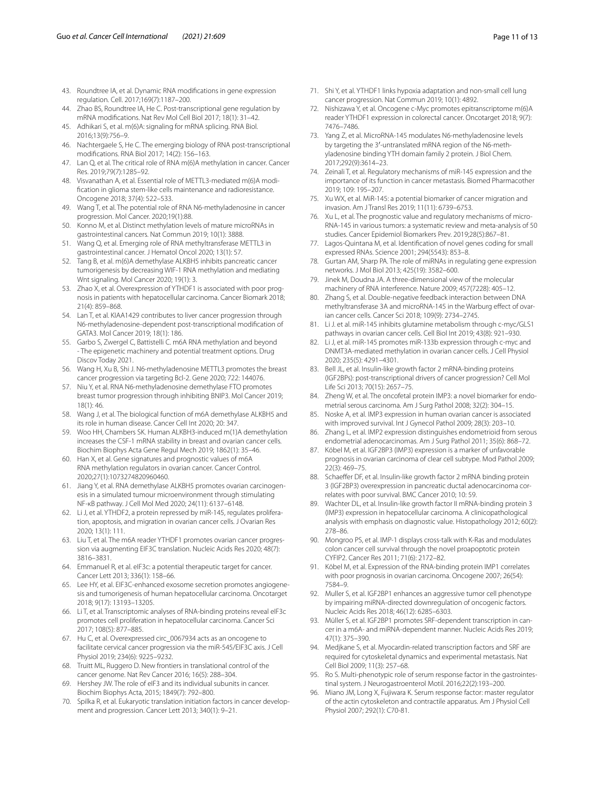- <span id="page-10-0"></span>43. Roundtree IA, et al. Dynamic RNA modifcations in gene expression regulation. Cell. 2017;169(7):1187–200.
- 44. Zhao BS, Roundtree IA, He C. Post-transcriptional gene regulation by mRNA modifcations. Nat Rev Mol Cell Biol 2017; 18(1): 31–42.
- 45. Adhikari S, et al. m(6)A: signaling for mRNA splicing. RNA Biol. 2016;13(9):756–9.
- <span id="page-10-1"></span>46. Nachtergaele S, He C. The emerging biology of RNA post-transcriptional modifcations. RNA Biol 2017; 14(2): 156–163.
- <span id="page-10-2"></span>47. Lan Q, et al. The critical role of RNA m(6)A methylation in cancer. Cancer Res. 2019;79(7):1285–92.
- <span id="page-10-3"></span>48. Visvanathan A, et al. Essential role of METTL3-mediated m(6)A modifcation in glioma stem-like cells maintenance and radioresistance. Oncogene 2018; 37(4): 522–533.
- <span id="page-10-4"></span>49. Wang T, et al. The potential role of RNA N6-methyladenosine in cancer progression. Mol Cancer. 2020;19(1):88.
- <span id="page-10-5"></span>50. Konno M, et al. Distinct methylation levels of mature microRNAs in gastrointestinal cancers. Nat Commun 2019; 10(1): 3888.
- <span id="page-10-6"></span>51. Wang Q, et al. Emerging role of RNA methyltransferase METTL3 in gastrointestinal cancer. J Hematol Oncol 2020; 13(1): 57.
- <span id="page-10-7"></span>52. Tang B, et al. m(6)A demethylase ALKBH5 inhibits pancreatic cancer tumorigenesis by decreasing WIF-1 RNA methylation and mediating Wnt signaling. Mol Cancer 2020; 19(1): 3.
- <span id="page-10-8"></span>53. Zhao X, et al. Overexpression of YTHDF1 is associated with poor prognosis in patients with hepatocellular carcinoma. Cancer Biomark 2018; 21(4): 859–868.
- 54. Lan T, et al. KIAA1429 contributes to liver cancer progression through N6-methyladenosine-dependent post-transcriptional modifcation of GATA3. Mol Cancer 2019; 18(1): 186.
- <span id="page-10-9"></span>55. Garbo S, Zwergel C, Battistelli C. m6A RNA methylation and beyond - The epigenetic machinery and potential treatment options. Drug Discov Today 2021.
- <span id="page-10-10"></span>56. Wang H, Xu B, Shi J. N6-methyladenosine METTL3 promotes the breast cancer progression via targeting Bcl-2. Gene 2020; 722: 144076.
- <span id="page-10-11"></span>57. Niu Y, et al. RNA N6-methyladenosine demethylase FTO promotes breast tumor progression through inhibiting BNIP3. Mol Cancer 2019; 18(1): 46.
- <span id="page-10-12"></span>58. Wang J, et al. The biological function of m6A demethylase ALKBH5 and its role in human disease. Cancer Cell Int 2020; 20: 347.
- <span id="page-10-13"></span>59. Woo HH, Chambers SK. Human ALKBH3-induced m(1)A demethylation increases the CSF-1 mRNA stability in breast and ovarian cancer cells. Biochim Biophys Acta Gene Regul Mech 2019; 1862(1): 35–46.
- <span id="page-10-19"></span>60. Han X, et al. Gene signatures and prognostic values of m6A RNA methylation regulators in ovarian cancer. Cancer Control. 2020;27(1):1073274820960460.
- <span id="page-10-18"></span>61. Jiang Y, et al. RNA demethylase ALKBH5 promotes ovarian carcinogenesis in a simulated tumour microenvironment through stimulating NF-κB pathway. J Cell Mol Med 2020; 24(11): 6137–6148.
- <span id="page-10-14"></span>62. Li J, et al. YTHDF2, a protein repressed by miR-145, regulates proliferation, apoptosis, and migration in ovarian cancer cells. J Ovarian Res 2020; 13(1): 111.
- <span id="page-10-15"></span>63. Liu T, et al. The m6A reader YTHDF1 promotes ovarian cancer progression via augmenting EIF3C translation. Nucleic Acids Res 2020; 48(7): 3816–3831.
- <span id="page-10-20"></span>64. Emmanuel R, et al. eIF3c: a potential therapeutic target for cancer. Cancer Lett 2013; 336(1): 158–66.
- 65. Lee HY, et al. EIF3C-enhanced exosome secretion promotes angiogenesis and tumorigenesis of human hepatocellular carcinoma. Oncotarget 2018; 9(17): 13193–13205.
- 66. Li T, et al. Transcriptomic analyses of RNA-binding proteins reveal eIF3c promotes cell proliferation in hepatocellular carcinoma. Cancer Sci 2017; 108(5): 877–885.
- <span id="page-10-21"></span>67. Hu C, et al. Overexpressed circ\_0067934 acts as an oncogene to facilitate cervical cancer progression via the miR-545/EIF3C axis. J Cell Physiol 2019; 234(6): 9225–9232.
- <span id="page-10-22"></span>68. Truitt ML, Ruggero D. New frontiers in translational control of the cancer genome. Nat Rev Cancer 2016; 16(5): 288–304.
- <span id="page-10-23"></span>69. Hershey JW. The role of eIF3 and its individual subunits in cancer. Biochim Biophys Acta, 2015; 1849(7): 792–800.
- <span id="page-10-24"></span>70. Spilka R, et al. Eukaryotic translation initiation factors in cancer development and progression. Cancer Lett 2013; 340(1): 9–21.
- <span id="page-10-25"></span>71. Shi Y, et al. YTHDF1 links hypoxia adaptation and non-small cell lung cancer progression. Nat Commun 2019; 10(1): 4892.
- <span id="page-10-26"></span>72. Nishizawa Y, et al. Oncogene c-Myc promotes epitranscriptome m(6)A reader YTHDF1 expression in colorectal cancer. Oncotarget 2018; 9(7): 7476–7486.
- <span id="page-10-27"></span>73. Yang Z, et al. MicroRNA-145 modulates N6-methyladenosine levels by targeting the 3′-untranslated mRNA region of the N6-methyladenosine binding YTH domain family 2 protein. J Biol Chem. 2017;292(9):3614–23.
- <span id="page-10-28"></span>74. Zeinali T, et al. Regulatory mechanisms of miR-145 expression and the importance of its function in cancer metastasis. Biomed Pharmacother 2019; 109: 195–207.
- 75. Xu WX, et al. MiR-145: a potential biomarker of cancer migration and invasion. Am J Transl Res 2019; 11(11): 6739–6753.
- <span id="page-10-29"></span>76. Xu L, et al. The prognostic value and regulatory mechanisms of micro-RNA-145 in various tumors: a systematic review and meta-analysis of 50 studies. Cancer Epidemiol Biomarkers Prev. 2019;28(5):867–81.
- <span id="page-10-30"></span>77. Lagos-Quintana M, et al. Identifcation of novel genes coding for small expressed RNAs. Science 2001; 294(5543): 853–8.
- <span id="page-10-31"></span>78. Gurtan AM, Sharp PA. The role of miRNAs in regulating gene expression networks. J Mol Biol 2013; 425(19): 3582–600.
- <span id="page-10-32"></span>79. Jinek M, Doudna JA. A three-dimensional view of the molecular machinery of RNA interference. Nature 2009; 457(7228): 405–12.
- <span id="page-10-33"></span>80. Zhang S, et al. Double-negative feedback interaction between DNA methyltransferase 3A and microRNA-145 in the Warburg efect of ovarian cancer cells. Cancer Sci 2018; 109(9): 2734–2745.
- 81. Li J. et al. miR-145 inhibits glutamine metabolism through c-myc/GLS1 pathways in ovarian cancer cells. Cell Biol Int 2019; 43(8): 921–930.
- <span id="page-10-34"></span>82. Li J, et al. miR-145 promotes miR-133b expression through c-myc and DNMT3A-mediated methylation in ovarian cancer cells. J Cell Physiol 2020; 235(5): 4291–4301.
- <span id="page-10-35"></span>83. Bell JL, et al. Insulin-like growth factor 2 mRNA-binding proteins (IGF2BPs): post-transcriptional drivers of cancer progression? Cell Mol Life Sci 2013; 70(15): 2657–75.
- <span id="page-10-36"></span>84. Zheng W, et al. The oncofetal protein IMP3: a novel biomarker for endometrial serous carcinoma. Am J Surg Pathol 2008; 32(2): 304–15.
- <span id="page-10-42"></span>Noske A, et al. IMP3 expression in human ovarian cancer is associated with improved survival. Int J Gynecol Pathol 2009; 28(3): 203–10.
- 86. Zhang L, et al. IMP2 expression distinguishes endometrioid from serous endometrial adenocarcinomas. Am J Surg Pathol 2011; 35(6): 868–72.
- <span id="page-10-43"></span>87. Köbel M, et al. IGF2BP3 (IMP3) expression is a marker of unfavorable prognosis in ovarian carcinoma of clear cell subtype. Mod Pathol 2009; 22(3): 469–75.
- 88. Schaeffer DF, et al. Insulin-like growth factor 2 mRNA binding protein 3 (IGF2BP3) overexpression in pancreatic ductal adenocarcinoma correlates with poor survival. BMC Cancer 2010; 10: 59.
- <span id="page-10-37"></span>89. Wachter DL, et al. Insulin-like growth factor II mRNA-binding protein 3 (IMP3) expression in hepatocellular carcinoma. A clinicopathological analysis with emphasis on diagnostic value. Histopathology 2012; 60(2): 278–86.
- <span id="page-10-38"></span>90. Mongroo PS, et al. IMP-1 displays cross-talk with K-Ras and modulates colon cancer cell survival through the novel proapoptotic protein CYFIP2. Cancer Res 2011; 71(6): 2172–82.
- <span id="page-10-16"></span>91. Köbel M, et al. Expression of the RNA-binding protein IMP1 correlates with poor prognosis in ovarian carcinoma. Oncogene 2007; 26(54): 7584–9.
- <span id="page-10-39"></span>92. Muller S, et al. IGF2BP1 enhances an aggressive tumor cell phenotype by impairing miRNA-directed downregulation of oncogenic factors. Nucleic Acids Res 2018; 46(12): 6285–6303.
- <span id="page-10-40"></span>93. Müller S, et al. IGF2BP1 promotes SRF-dependent transcription in cancer in a m6A- and miRNA-dependent manner. Nucleic Acids Res 2019; 47(1): 375–390.
- <span id="page-10-17"></span>94. Medjkane S, et al. Myocardin-related transcription factors and SRF are required for cytoskeletal dynamics and experimental metastasis. Nat Cell Biol 2009; 11(3): 257–68.
- 95. Ro S. Multi-phenotypic role of serum response factor in the gastrointestinal system. J Neurogastroenterol Motil. 2016;22(2):193–200.
- <span id="page-10-41"></span>96. Miano JM, Long X, Fujiwara K. Serum response factor: master regulator of the actin cytoskeleton and contractile apparatus. Am J Physiol Cell Physiol 2007; 292(1): C70-81.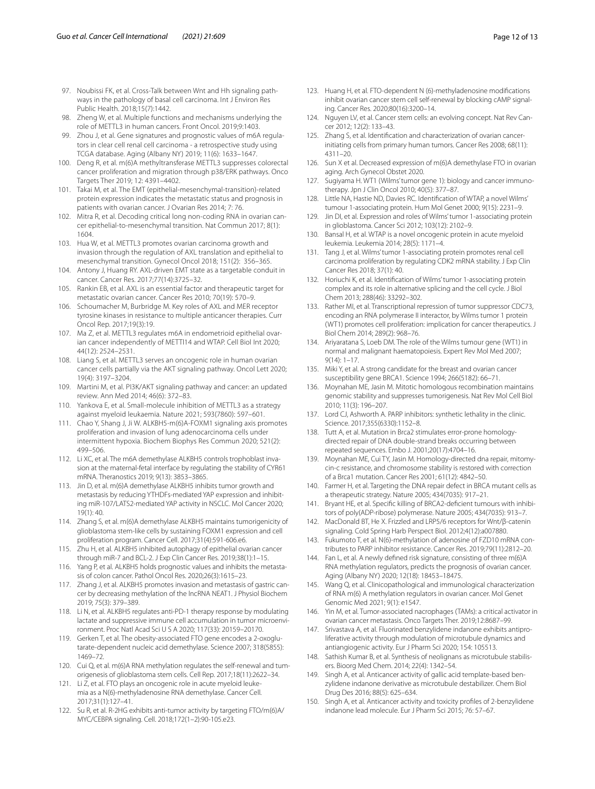- <span id="page-11-0"></span>97. Noubissi FK, et al. Cross-Talk between Wnt and Hh signaling pathways in the pathology of basal cell carcinoma. Int J Environ Res Public Health. 2018;15(7):1442.
- <span id="page-11-10"></span>98. Zheng W, et al. Multiple functions and mechanisms underlying the role of METTL3 in human cancers. Front Oncol. 2019;9:1403.
- <span id="page-11-11"></span>99. Zhou J, et al. Gene signatures and prognostic values of m6A regulators in clear cell renal cell carcinoma - a retrospective study using TCGA database. Aging (Albany NY) 2019; 11(6): 1633–1647.
- <span id="page-11-12"></span>100. Deng R, et al. m(6)A methyltransferase METTL3 suppresses colorectal cancer proliferation and migration through p38/ERK pathways. Onco Targets Ther 2019; 12: 4391–4402.
- <span id="page-11-13"></span>101. Takai M, et al. The EMT (epithelial-mesenchymal-transition)-related protein expression indicates the metastatic status and prognosis in patients with ovarian cancer. J Ovarian Res 2014; 7: 76.
- <span id="page-11-14"></span>102. Mitra R, et al. Decoding critical long non-coding RNA in ovarian cancer epithelial-to-mesenchymal transition. Nat Commun 2017; 8(1): 1604.
- <span id="page-11-1"></span>103. Hua W, et al. METTL3 promotes ovarian carcinoma growth and invasion through the regulation of AXL translation and epithelial to mesenchymal transition. Gynecol Oncol 2018; 151(2): 356–365.
- <span id="page-11-15"></span>104. Antony J, Huang RY. AXL-driven EMT state as a targetable conduit in cancer. Cancer Res. 2017;77(14):3725–32.
- 105. Rankin EB, et al. AXL is an essential factor and therapeutic target for metastatic ovarian cancer. Cancer Res 2010; 70(19): 570–9.
- <span id="page-11-16"></span>106. Schoumacher M, Burbridge M. Key roles of AXL and MER receptor tyrosine kinases in resistance to multiple anticancer therapies. Curr Oncol Rep. 2017;19(3):19.
- <span id="page-11-2"></span>107. Ma Z, et al. METTL3 regulates m6A in endometrioid epithelial ovarian cancer independently of METTl14 and WTAP. Cell Biol Int 2020; 44(12): 2524–2531.
- <span id="page-11-3"></span>108. Liang S, et al. METTL3 serves an oncogenic role in human ovarian cancer cells partially via the AKT signaling pathway. Oncol Lett 2020; 19(4): 3197–3204.
- <span id="page-11-17"></span>109. Martini M, et al. PI3K/AKT signaling pathway and cancer: an updated review. Ann Med 2014; 46(6): 372–83.
- <span id="page-11-18"></span>110. Yankova E, et al. Small-molecule inhibition of METTL3 as a strategy against myeloid leukaemia. Nature 2021; 593(7860): 597–601.
- <span id="page-11-19"></span>111. Chao Y, Shang J, Ji W. ALKBH5-m(6)A-FOXM1 signaling axis promotes proliferation and invasion of lung adenocarcinoma cells under intermittent hypoxia. Biochem Biophys Res Commun 2020; 521(2): 499–506.
- 112. Li XC, et al. The m6A demethylase ALKBH5 controls trophoblast invasion at the maternal-fetal interface by regulating the stability of CYR61 mRNA. Theranostics 2019; 9(13): 3853–3865.
- <span id="page-11-20"></span>113. Jin D, et al. m(6)A demethylase ALKBH5 inhibits tumor growth and metastasis by reducing YTHDFs-mediated YAP expression and inhibiting miR-107/LATS2-mediated YAP activity in NSCLC. Mol Cancer 2020; 19(1): 40.
- <span id="page-11-21"></span>114. Zhang S, et al. m(6)A demethylase ALKBH5 maintains tumorigenicity of glioblastoma stem-like cells by sustaining FOXM1 expression and cell proliferation program. Cancer Cell. 2017;31(4):591-606.e6.
- <span id="page-11-4"></span>115. Zhu H, et al. ALKBH5 inhibited autophagy of epithelial ovarian cancer through miR-7 and BCL-2. J Exp Clin Cancer Res. 2019;38(1):1–15.
- <span id="page-11-22"></span>116. Yang P, et al. ALKBH5 holds prognostic values and inhibits the metastasis of colon cancer. Pathol Oncol Res. 2020;26(3):1615–23.
- <span id="page-11-23"></span>117. Zhang J, et al. ALKBH5 promotes invasion and metastasis of gastric cancer by decreasing methylation of the lncRNA NEAT1. J Physiol Biochem 2019; 75(3): 379–389.
- <span id="page-11-5"></span>118. Li N, et al. ALKBH5 regulates anti-PD-1 therapy response by modulating lactate and suppressive immune cell accumulation in tumor microenvironment. Proc Natl Acad Sci U S A 2020; 117(33): 20159–20170.
- <span id="page-11-24"></span>119. Gerken T, et al. The obesity-associated FTO gene encodes a 2-oxoglutarate-dependent nucleic acid demethylase. Science 2007; 318(5855): 1469–72.
- <span id="page-11-25"></span>120. Cui Q, et al. m(6)A RNA methylation regulates the self-renewal and tumorigenesis of glioblastoma stem cells. Cell Rep. 2017;18(11):2622–34.
- 121. Li Z, et al. FTO plays an oncogenic role in acute myeloid leukemia as a N(6)-methyladenosine RNA demethylase. Cancer Cell. 2017;31(1):127–41.
- <span id="page-11-26"></span>122. Su R, et al. R-2HG exhibits anti-tumor activity by targeting FTO/m(6)A/ MYC/CEBPA signaling. Cell. 2018;172(1–2):90-105.e23.
- <span id="page-11-6"></span>123. Huang H, et al. FTO-dependent N (6)-methyladenosine modifcations inhibit ovarian cancer stem cell self-renewal by blocking cAMP signaling. Cancer Res. 2020;80(16):3200–14.
- <span id="page-11-27"></span>124. Nguyen LV, et al. Cancer stem cells: an evolving concept. Nat Rev Cancer 2012; 12(2): 133–43.
- <span id="page-11-28"></span>125. Zhang S, et al. Identifcation and characterization of ovarian cancerinitiating cells from primary human tumors. Cancer Res 2008; 68(11): 4311–20.
- <span id="page-11-7"></span>126. Sun X et al. Decreased expression of m(6)A demethylase FTO in ovarian aging. Arch Gynecol Obstet 2020.
- <span id="page-11-29"></span>127. Sugiyama H. WT1 (Wilms' tumor gene 1): biology and cancer immunotherapy. Jpn J Clin Oncol 2010; 40(5): 377–87.
- <span id="page-11-30"></span>128. Little NA, Hastie ND, Davies RC. Identifcation of WTAP, a novel Wilms' tumour 1-associating protein. Hum Mol Genet 2000; 9(15): 2231–9.
- <span id="page-11-31"></span>129. Jin DI, et al. Expression and roles of Wilms' tumor 1-associating protein in glioblastoma. Cancer Sci 2012; 103(12): 2102–9.
- <span id="page-11-32"></span>130. Bansal H, et al. WTAP is a novel oncogenic protein in acute myeloid leukemia. Leukemia 2014; 28(5): 1171–4.
- <span id="page-11-33"></span>131. Tang J, et al. Wilms' tumor 1-associating protein promotes renal cell carcinoma proliferation by regulating CDK2 mRNA stability. J Exp Clin Cancer Res 2018; 37(1): 40.
- <span id="page-11-34"></span>132. Horiuchi K, et al. Identifcation of Wilms' tumor 1-associating protein complex and its role in alternative splicing and the cell cycle. J Biol Chem 2013; 288(46): 33292–302.
- <span id="page-11-35"></span>133. Rather MI, et al. Transcriptional repression of tumor suppressor CDC73, encoding an RNA polymerase II interactor, by Wilms tumor 1 protein (WT1) promotes cell proliferation: implication for cancer therapeutics. J Biol Chem 2014; 289(2): 968–76.
- <span id="page-11-36"></span>134. Ariyaratana S, Loeb DM. The role of the Wilms tumour gene (WT1) in normal and malignant haematopoiesis. Expert Rev Mol Med 2007; 9(14): 1–17.
- <span id="page-11-37"></span>135. Miki Y, et al. A strong candidate for the breast and ovarian cancer susceptibility gene BRCA1. Science 1994; 266(5182): 66–71.
- <span id="page-11-38"></span>136. Moynahan ME, Jasin M. Mitotic homologous recombination maintains genomic stability and suppresses tumorigenesis. Nat Rev Mol Cell Biol 2010; 11(3): 196–207.
- <span id="page-11-39"></span>137. Lord CJ, Ashworth A. PARP inhibitors: synthetic lethality in the clinic. Science. 2017;355(6330):1152–8.
- <span id="page-11-40"></span>138. Tutt A, et al. Mutation in Brca2 stimulates error-prone homologydirected repair of DNA double-strand breaks occurring between repeated sequences. Embo J. 2001;20(17):4704–16.
- <span id="page-11-41"></span>139. Moynahan ME, Cui TY, Jasin M. Homology-directed dna repair, mitomycin-c resistance, and chromosome stability is restored with correction of a Brca1 mutation. Cancer Res 2001; 61(12): 4842–50.
- <span id="page-11-42"></span>140. Farmer H, et al. Targeting the DNA repair defect in BRCA mutant cells as a therapeutic strategy. Nature 2005; 434(7035): 917–21.
- <span id="page-11-43"></span>141. Bryant HE, et al. Specifc killing of BRCA2-defcient tumours with inhibitors of poly(ADP-ribose) polymerase. Nature 2005; 434(7035): 913–7.
- <span id="page-11-8"></span>142. MacDonald BT, He X. Frizzled and LRP5/6 receptors for Wnt/β-catenin signaling. Cold Spring Harb Perspect Biol. 2012;4(12):a007880. 143. Fukumoto T, et al. N(6)-methylation of adenosine of FZD10 mRNA con-
- <span id="page-11-9"></span>tributes to PARP inhibitor resistance. Cancer Res. 2019;79(11):2812–20.
- <span id="page-11-44"></span>144. Fan L, et al. A newly defned risk signature, consisting of three m(6)A RNA methylation regulators, predicts the prognosis of ovarian cancer. Aging (Albany NY) 2020; 12(18): 18453–18475.
- <span id="page-11-45"></span>145. Wang Q, et al. Clinicopathological and immunological characterization of RNA m(6) A methylation regulators in ovarian cancer. Mol Genet Genomic Med 2021; 9(1): e1547.
- <span id="page-11-46"></span>146. Yin M, et al. Tumor-associated nacrophages (TAMs): a critical activator in ovarian cancer metastasis. Onco Targets Ther. 2019;12:8687–99.
- <span id="page-11-47"></span>147. Srivastava A, et al. Fluorinated benzylidene indanone exhibits antiproliferative activity through modulation of microtubule dynamics and antiangiogenic activity. Eur J Pharm Sci 2020; 154: 105513.
- <span id="page-11-48"></span>148. Sathish Kumar B, et al. Synthesis of neolignans as microtubule stabilisers. Bioorg Med Chem. 2014; 22(4): 1342–54.
- <span id="page-11-49"></span>149. Singh A, et al. Anticancer activity of gallic acid template-based benzylidene indanone derivative as microtubule destabilizer. Chem Biol Drug Des 2016; 88(5): 625–634.
- <span id="page-11-50"></span>150. Singh A, et al. Anticancer activity and toxicity profles of 2-benzylidene indanone lead molecule. Eur J Pharm Sci 2015; 76: 57–67.